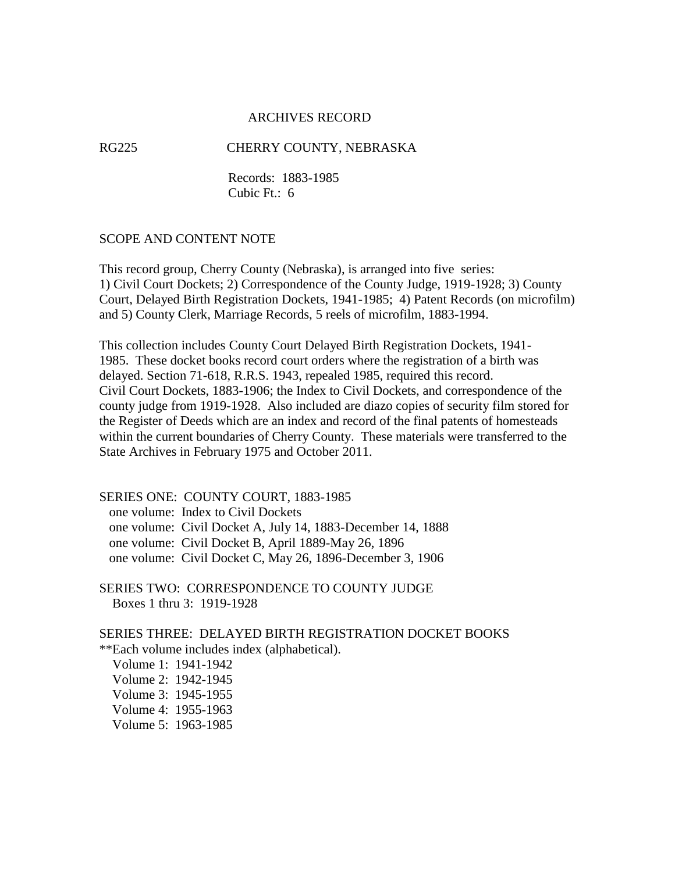### ARCHIVES RECORD

RG225 CHERRY COUNTY, NEBRASKA

 Records: 1883-1985 Cubic Ft.: 6

#### SCOPE AND CONTENT NOTE

This record group, Cherry County (Nebraska), is arranged into five series: 1) Civil Court Dockets; 2) Correspondence of the County Judge, 1919-1928; 3) County Court, Delayed Birth Registration Dockets, 1941-1985; 4) Patent Records (on microfilm) and 5) County Clerk, Marriage Records, 5 reels of microfilm, 1883-1994.

This collection includes County Court Delayed Birth Registration Dockets, 1941- 1985. These docket books record court orders where the registration of a birth was delayed. Section 71-618, R.R.S. 1943, repealed 1985, required this record. Civil Court Dockets, 1883-1906; the Index to Civil Dockets, and correspondence of the county judge from 1919-1928. Also included are diazo copies of security film stored for the Register of Deeds which are an index and record of the final patents of homesteads within the current boundaries of Cherry County. These materials were transferred to the State Archives in February 1975 and October 2011.

## SERIES ONE: COUNTY COURT, 1883-1985

one volume: Index to Civil Dockets

one volume: Civil Docket A, July 14, 1883-December 14, 1888

one volume: Civil Docket B, April 1889-May 26, 1896

one volume: Civil Docket C, May 26, 1896-December 3, 1906

SERIES TWO: CORRESPONDENCE TO COUNTY JUDGE Boxes 1 thru 3: 1919-1928

#### SERIES THREE: DELAYED BIRTH REGISTRATION DOCKET BOOKS \*\*Each volume includes index (alphabetical).

 Volume 1: 1941-1942 Volume 2: 1942-1945 Volume 3: 1945-1955 Volume 4: 1955-1963 Volume 5: 1963-1985